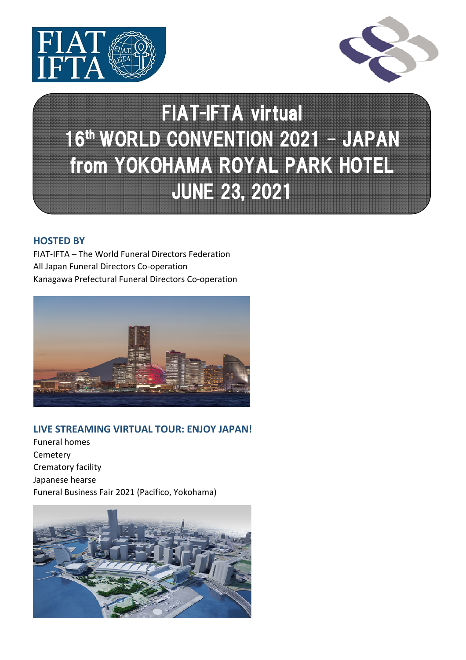



## FIAT-IFTA virtual 16<sup>th</sup> WORLD CONVENTION 2021 - JAPAN from YOKOHAMA ROYAL PARK HOTEL JUNE23, 2021

#### **HOSTED BY**

FIAT-IFTA – The World Funeral Directors Federation All Japan Funeral Directors Co-operation Kanagawa Prefectural Funeral Directors Co-operation



#### **LIVE STREAMING VIRTUAL TOUR: ENJOY JAPAN!**

Funeral homes Cemetery Crematory facility Japanese hearse Funeral Business Fair 2021 (Pacifico, Yokohama)

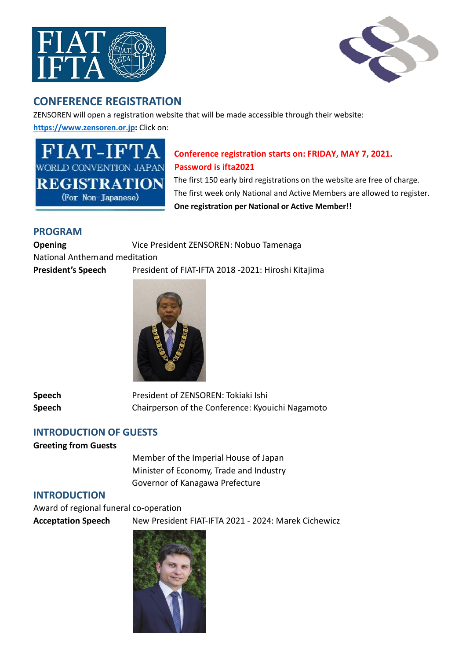



### **CONFERENCE REGISTRATION**

ZENSOREN will open a registration website that will be made accessible through their website:

**https://www.zensoren.or.jp:** Click on:

**WORLD CONVENTION JAPAN Password is ifta2021** 

# **Conference registration starts on: FRIDAY, MAY 7, 2021.**

REGISTRATION The first 150 early bird registrations on the website are free of charge. (For Non-Japanese) The first week only National and Active Members are allowed to register.  **One registration per National or Active Member!!** 

#### **PROGRAM**

**Opening Vice President ZENSOREN: Nobuo Tamenaga** National Anthem and meditation **President's Speech** President of FIAT-IFTA 2018 -2021: Hiroshi Kitajima



**Speech** President of ZENSOREN: Tokiaki Ishi **Speech** Chairperson of the Conference: Kyouichi Nagamoto

#### **INTRODUCTION OF GUESTS**

**Greeting from Guests** 

 Member of the Imperial House of Japan Minister of Economy, Trade and Industry Governor of Kanagawa Prefecture

#### **INTRODUCTION**

Award of regional funeral co-operation **Acceptation Speech** New President FIAT-IFTA 2021 - 2024: Marek Cichewicz

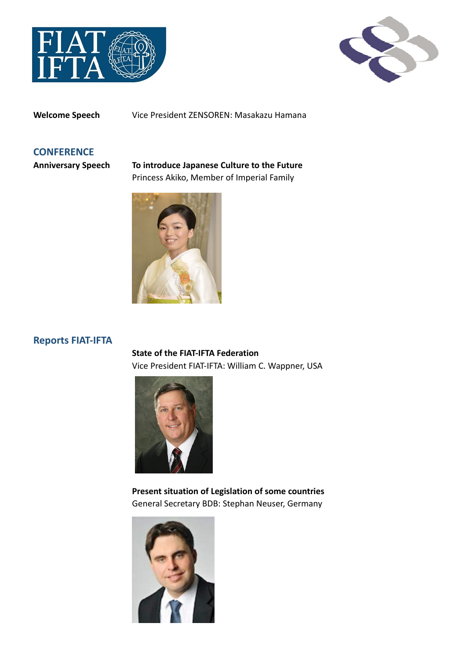



**Welcome Speech** Vice President ZENSOREN: Masakazu Hamana

#### **CONFERENCE**

**Anniversary Speech To introduce Japanese Culture to the Future**  Princess Akiko, Member of Imperial Family



#### **Reports FIAT-IFTA**

 **State of the FIAT-IFTA Federation**  Vice President FIAT-IFTA: William C. Wappner, USA



 **Present situation of Legislation of some countries**  General Secretary BDB: Stephan Neuser, Germany